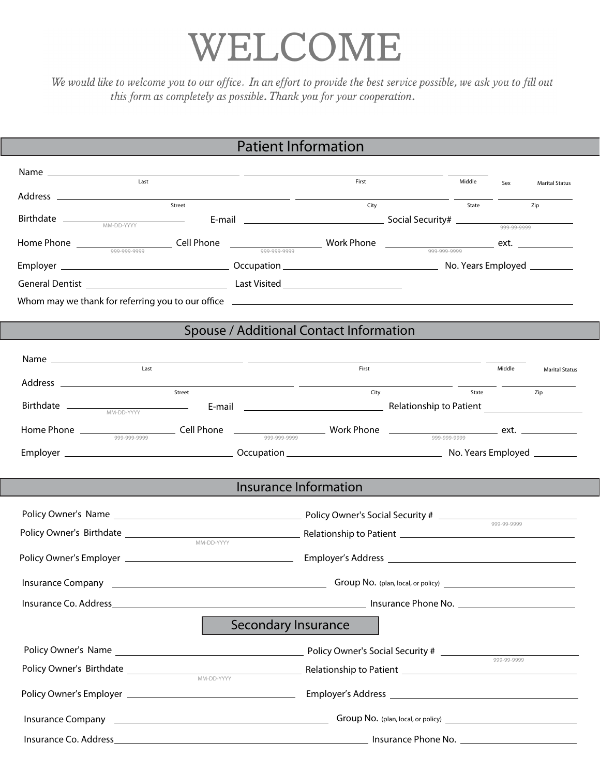## WELCOME

We would like to welcome you to our office. In an effort to provide the best service possible, we ask you to fill out this form as completely as possible. Thank you for your cooperation.

## Patient Information

| Last                                                                                                                                                                                                                                 | First                                   | Middle                                                                             |                    |                       |
|--------------------------------------------------------------------------------------------------------------------------------------------------------------------------------------------------------------------------------------|-----------------------------------------|------------------------------------------------------------------------------------|--------------------|-----------------------|
|                                                                                                                                                                                                                                      |                                         | $\overline{\phantom{a}}$ and $\overline{\phantom{a}}$ and $\overline{\phantom{a}}$ | Sex                | <b>Marital Status</b> |
|                                                                                                                                                                                                                                      | City                                    |                                                                                    | <b>State State</b> | Zip                   |
|                                                                                                                                                                                                                                      |                                         |                                                                                    |                    |                       |
|                                                                                                                                                                                                                                      |                                         |                                                                                    |                    |                       |
|                                                                                                                                                                                                                                      |                                         |                                                                                    |                    |                       |
|                                                                                                                                                                                                                                      |                                         |                                                                                    |                    |                       |
|                                                                                                                                                                                                                                      |                                         |                                                                                    |                    |                       |
|                                                                                                                                                                                                                                      | Spouse / Additional Contact Information |                                                                                    |                    |                       |
|                                                                                                                                                                                                                                      |                                         |                                                                                    |                    |                       |
| Last                                                                                                                                                                                                                                 | First                                   |                                                                                    | Middle             | <b>Marital Status</b> |
| Address <u>and the state of the state of the state of the state of the state of the state of the state of the state of the state of the state of the state of the state of the state of the state of the state of the state of t</u> |                                         |                                                                                    |                    |                       |
|                                                                                                                                                                                                                                      |                                         |                                                                                    |                    |                       |
|                                                                                                                                                                                                                                      |                                         |                                                                                    |                    |                       |
|                                                                                                                                                                                                                                      |                                         |                                                                                    |                    |                       |
|                                                                                                                                                                                                                                      |                                         |                                                                                    |                    |                       |
|                                                                                                                                                                                                                                      |                                         |                                                                                    |                    |                       |
|                                                                                                                                                                                                                                      | Insurance Information                   |                                                                                    |                    |                       |
|                                                                                                                                                                                                                                      |                                         |                                                                                    |                    |                       |
|                                                                                                                                                                                                                                      |                                         |                                                                                    |                    |                       |
| MM-DD-YYYY                                                                                                                                                                                                                           |                                         |                                                                                    |                    |                       |
|                                                                                                                                                                                                                                      |                                         |                                                                                    |                    |                       |
| Insurance Company <b>Company Company Company Company Company Company Company Company Company Company Company Company Company Company Company Company Company Company Company Company Com</b>                                         |                                         |                                                                                    |                    |                       |
| Insurance Co. Address_______________                                                                                                                                                                                                 |                                         | <b>All Exercise School</b> Insurance Phone No.                                     |                    |                       |
|                                                                                                                                                                                                                                      | Secondary Insurance                     |                                                                                    |                    |                       |
|                                                                                                                                                                                                                                      |                                         |                                                                                    |                    |                       |
|                                                                                                                                                                                                                                      |                                         |                                                                                    |                    |                       |
|                                                                                                                                                                                                                                      |                                         |                                                                                    |                    |                       |
|                                                                                                                                                                                                                                      |                                         |                                                                                    |                    |                       |